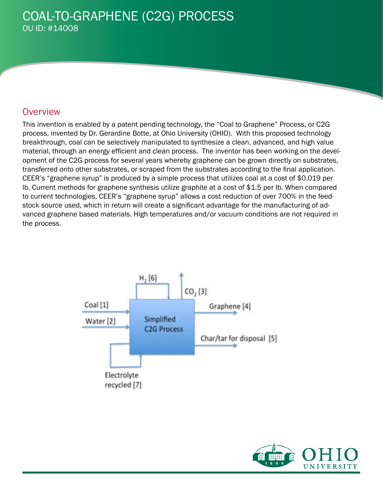## **Overview**

This invention is enabled by a patent pending technology, the "Coal to Graphene" Process, or C2G process, invented by Dr. Gerardine Botte, at Ohio University (OHIO). With this proposed technology breakthrough, coal can be selectively manipulated to synthesize a clean, advanced, and high value material, through an energy efficient and clean process. The inventor has been working on the development of the C2G process for several years whereby graphene can be grown directly on substrates, transferred onto other substrates, or scraped from the substrates according to the final application. CEER's "graphene syrup" is produced by a simple process that utilizes coal at a cost of \$0.019 per lb. Current methods for graphene synthesis utilize graphite at a cost of \$1.5 per lb. When compared to current technologies, CEER's "graphene syrup" allows a cost reduction of over 700% in the feedstock source used, which in return will create a significant advantage for the manufacturing of advanced graphene based materials. High temperatures and/or vacuum conditions are not required in the process.